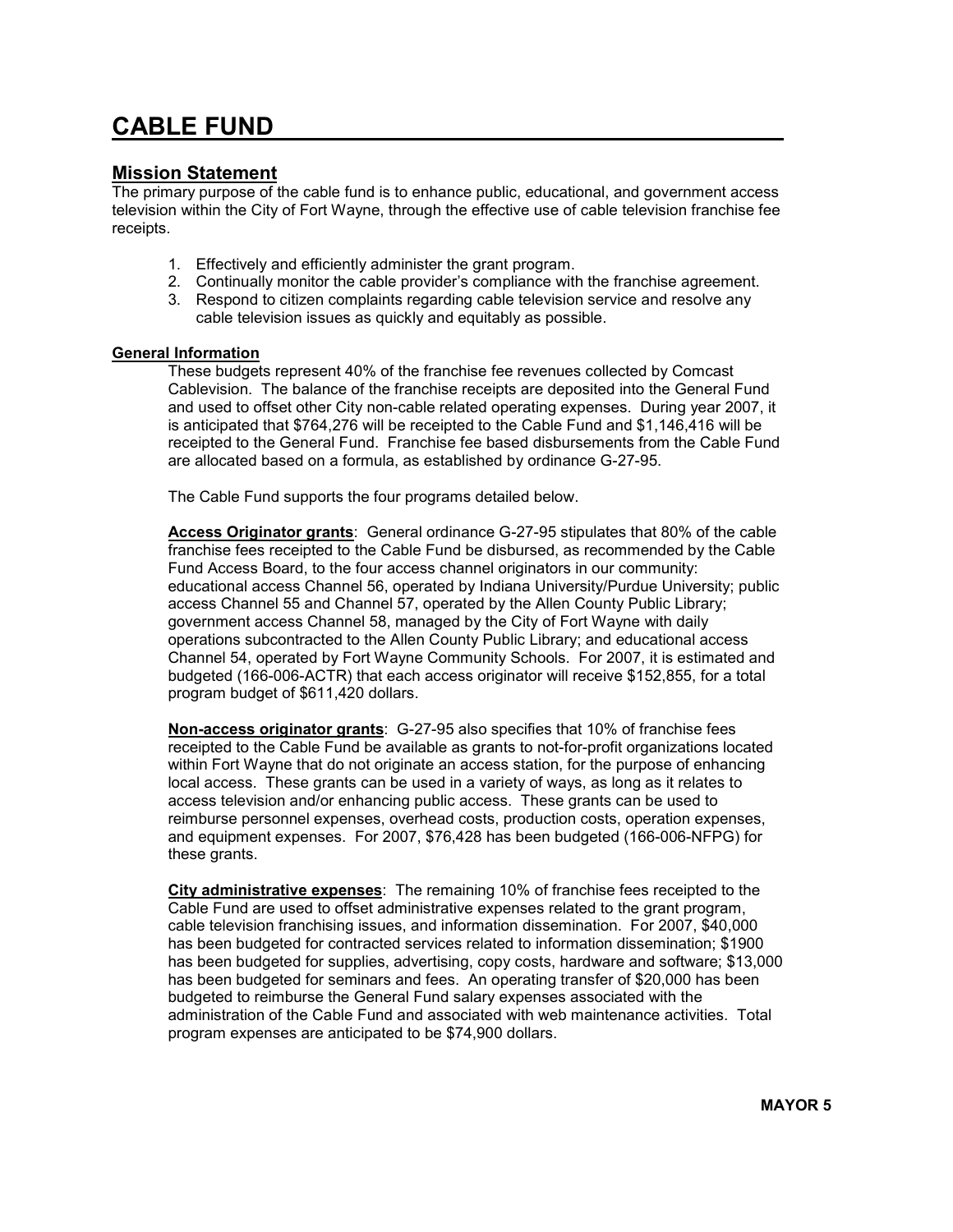## CABLE FUND

## Mission Statement

The primary purpose of the cable fund is to enhance public, educational, and government access television within the City of Fort Wayne, through the effective use of cable television franchise fee receipts.

- 1. Effectively and efficiently administer the grant program.
- 2. Continually monitor the cable provider's compliance with the franchise agreement.
- 3. Respond to citizen complaints regarding cable television service and resolve any cable television issues as quickly and equitably as possible.

## General Information

These budgets represent 40% of the franchise fee revenues collected by Comcast Cablevision. The balance of the franchise receipts are deposited into the General Fund and used to offset other City non-cable related operating expenses. During year 2007, it is anticipated that \$764,276 will be receipted to the Cable Fund and \$1,146,416 will be receipted to the General Fund. Franchise fee based disbursements from the Cable Fund are allocated based on a formula, as established by ordinance G-27-95.

The Cable Fund supports the four programs detailed below.

Access Originator grants: General ordinance G-27-95 stipulates that 80% of the cable franchise fees receipted to the Cable Fund be disbursed, as recommended by the Cable Fund Access Board, to the four access channel originators in our community: educational access Channel 56, operated by Indiana University/Purdue University; public access Channel 55 and Channel 57, operated by the Allen County Public Library; government access Channel 58, managed by the City of Fort Wayne with daily operations subcontracted to the Allen County Public Library; and educational access Channel 54, operated by Fort Wayne Community Schools. For 2007, it is estimated and budgeted (166-006-ACTR) that each access originator will receive \$152,855, for a total program budget of \$611,420 dollars.

Non-access originator grants: G-27-95 also specifies that 10% of franchise fees receipted to the Cable Fund be available as grants to not-for-profit organizations located within Fort Wayne that do not originate an access station, for the purpose of enhancing local access. These grants can be used in a variety of ways, as long as it relates to access television and/or enhancing public access. These grants can be used to reimburse personnel expenses, overhead costs, production costs, operation expenses, and equipment expenses. For 2007, \$76,428 has been budgeted (166-006-NFPG) for these grants.

City administrative expenses: The remaining 10% of franchise fees receipted to the Cable Fund are used to offset administrative expenses related to the grant program, cable television franchising issues, and information dissemination. For 2007, \$40,000 has been budgeted for contracted services related to information dissemination; \$1900 has been budgeted for supplies, advertising, copy costs, hardware and software; \$13,000 has been budgeted for seminars and fees. An operating transfer of \$20,000 has been budgeted to reimburse the General Fund salary expenses associated with the administration of the Cable Fund and associated with web maintenance activities. Total program expenses are anticipated to be \$74,900 dollars.